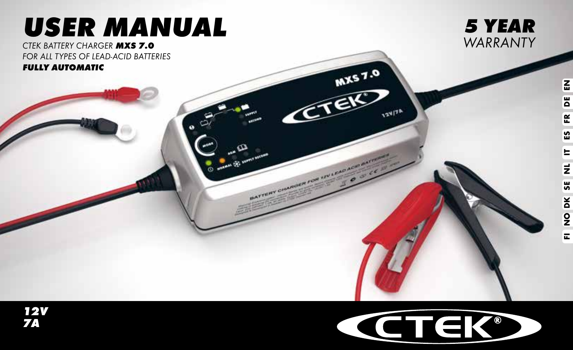# *USER MANUAL*

*CTEK BATTERY CHARGER MXS 7.0 FOR ALL TYPES OF LEAD-ACID BATTERIES FULLY AUTOMATIC*





MX57.0

**124/7h** 

Æ

BATTERY CHARGER FOR INVERSIGE AND

 $\omega$   $\omega$ 

*12V 7A*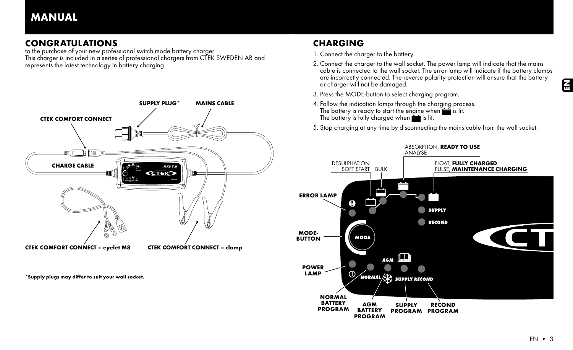## MANUAL

## CONGRATULATIONS

to the purchase of your new professional switch mode battery charger. This charger is included in a series of professional chargers from CTEK SWEDEN AB and represents the latest technology in battery charging.



\*Supply plugs may differ to suit your wall socket.

## **CHARGING**

- 1. Connect the charger to the battery.
- 2. Connect the charger to the wall socket. The power lamp will indicate that the mains cable is connected to the wall socket. The error lamp will indicate if the battery clamps are incorrectly connected. The reverse polarity protection will ensure that the battery or charger will not be damaged.
- 3. Press the MODE-button to select charging program.
- 4. Follow the indication lamps through the charging process. The battery is ready to start the engine when  $\sum$  is lit.<br>The battery is fully charged when  $\sum$  is lit.
- 5. Stop charging at any time by disconnecting the mains cable from the wall socket.

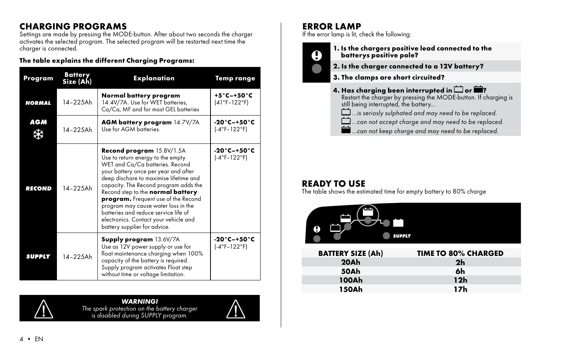## CHARGING PROGRAMS

Settings are made by pressing the MODE-button. After about two seconds the charger activates the selected program. The selected program will be restarted next time the charger is connected.

#### The table explains the different Charging Programs:

| Program       | <b>Battery</b><br>Size (Ah) | <b>Explanation</b>                                                                                                                                                                                                                                                                                                                                                                                                                                               | Temp range                                      |
|---------------|-----------------------------|------------------------------------------------------------------------------------------------------------------------------------------------------------------------------------------------------------------------------------------------------------------------------------------------------------------------------------------------------------------------------------------------------------------------------------------------------------------|-------------------------------------------------|
| <b>NORMAL</b> | 14-225Ah                    | Normal battery program<br>14.4V/7A. Use for WET batteries,<br>Ca/Ca, MF and for most GEL batteries                                                                                                                                                                                                                                                                                                                                                               | $+5^{\circ}$ C-+50 $^{\circ}$ C<br>(41°F-122°F) |
| AGM           | $14 - 225$ Ah               | <b>AGM battery program 14.7V/7A</b><br>Use for AGM batteries.                                                                                                                                                                                                                                                                                                                                                                                                    | -20°C-+50°C<br>$(-4°F-122°F)$                   |
| <b>RECOND</b> | $14 - 225$ Ah               | Recond program 15.8V/1.5A<br>Use to return energy to the empty<br>WET and Ca/Ca batteries. Recond<br>your battery once per year and after<br>deep dischare to maximise lifetime and<br>capacity. The Recond program adds the<br>Recond step to the normal battery<br>program. Frequent use of the Recond<br>program may cause water loss in the<br>batteries and reduce service life of<br>electronics. Contact your vehicle and<br>battery supplier for advice. | -20°C-+50°C<br>(-4°F-122°F)                     |
| <b>SUPPLY</b> | 14-225Ah                    | <b>Supply program 13.6V/7A</b><br>Use as 12V power supply or use for<br>float maintenance charging when 100%<br>capacity of the battery is required.<br>Supply program activates Float step<br>without time or voltage limitation.                                                                                                                                                                                                                               | $-20^\circ$ C $-+50^\circ$ C<br>$(-4°F-122°F)$  |



#### *WARNING! The spark protection on the battery charger is disabled during SUPPLY program.*



## ERROR LAMP

If the error lamp is lit, check the following:

1. Is the chargers positive lead connected to the batterys positive pole?

- 2. Is the charger connected to a 12V battery?
- 3. The clamps are short circuited?
- 4. Has charging been interrupted in  $\Box$  or  $\blacksquare$ ? Restart the charger by pressing the MODE-button. If charging is still being interrupted, the battery... *m...is seriosly sulphated and may need to be replaced. ...can not accept charge and may need to be replaced. ...can not keep charge and may need to be replaced.*

## READY TO USE

The table shows the estimated time for empty battery to 80% charge



| <b>BATTERY SIZE (Ah)</b> | <b>TIME TO 80% CHARGED</b> |
|--------------------------|----------------------------|
| 20Ah                     | 2 <sub>h</sub>             |
| 50Ah                     | 6h                         |
| 100Ah                    | 12h                        |
| 150Ah                    | 17h                        |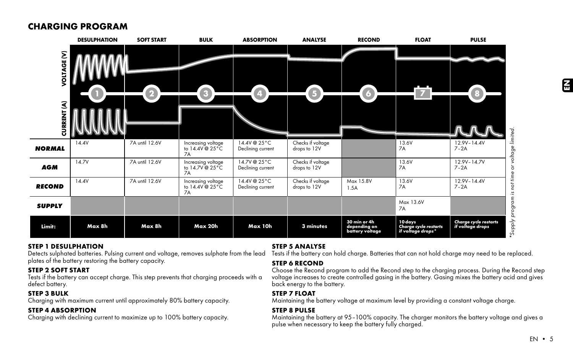## CHARGING PROGRAM

|                         | <b>DESULPHATION</b> | <b>SOFT START</b> | <b>BULK</b>                                        | <b>ABSORPTION</b>                 | <b>ANALYSE</b>                    | <b>RECOND</b>                                   | <b>FLOAT</b>                                          | <b>PULSE</b>                                                 |
|-------------------------|---------------------|-------------------|----------------------------------------------------|-----------------------------------|-----------------------------------|-------------------------------------------------|-------------------------------------------------------|--------------------------------------------------------------|
| <b>VOLTAGE (V)</b><br>℥ | . .                 | 2                 | $\bullet$                                          | $\bullet$                         | $\bigcirc$                        | 6                                               | $\mathbf{Z}$                                          | 8                                                            |
| CURRENT                 |                     |                   |                                                    |                                   |                                   |                                                 |                                                       |                                                              |
| <b>NORMAL</b>           | 14.4V               | 7A until 12.6V    | Increasing voltage<br>to 14.4V @ 25°C<br>7A        | 14.4V @ 25°C<br>Declining current | Checks if voltage<br>drops to 12V |                                                 | 13.6V<br>7A                                           | or voltage limited.<br>12.9V-14.4V<br>$7-2A$                 |
| <b>AGM</b>              | 14.7V               | 7A until 12.6V    | Increasing voltage<br>to 14.7V @ 25°C<br>7A        | 14.7V @ 25°C<br>Declining current | Checks if voltage<br>drops to 12V |                                                 | 13.6V<br>7A                                           | 12.9V-14.7V<br>$7 - 2A$                                      |
| <b>RECOND</b>           | 14.4V               | 7A until 12.6V    | Increasing voltage<br>to 14.4V @ 25°C<br><b>7A</b> | 14.4V @ 25°C<br>Declining current | Checks if voltage<br>drops to 12V | Max 15.8V<br>1.5A                               | 13.6V<br>7A                                           | is not time<br>12.9V-14.4V<br>$7-2A$                         |
| <b>SUPPLY</b>           |                     |                   |                                                    |                                   |                                   |                                                 | Max 13.6V<br><b>7A</b>                                |                                                              |
| Limit:                  | Max 8h              | Max 8h            | Max 20h                                            | Max 10h                           | 3 minutes                         | 30 min or 4h<br>depending on<br>battery voltage | 10 days<br>Charge cycle restarts<br>if voltage drops* | *Supply program<br>Charge cycle restarts<br>if voltage drops |

#### STEP 1 DESULPHATION

Detects sulphated batteries. Pulsing current and voltage, removes sulphate from the lead plates of the battery restoring the battery capacity.

#### STEP 2 SOFT START

Tests if the battery can accept charge. This step prevents that charging proceeds with a defect battery.

#### STEP 3 BULK

Charging with maximum current until approximately 80% battery capacity.

#### STEP 4 ABSORPTION

Charging with declining current to maximize up to 100% battery capacity.

#### STEP 5 ANALYSE

Tests if the battery can hold charge. Batteries that can not hold charge may need to be replaced.

#### STEP 6 RECOND

Choose the Recond program to add the Recond step to the charging process. During the Recond step voltage increases to create controlled gasing in the battery. Gasing mixes the battery acid and gives back energy to the battery.

### STEP 7 FLOAT

Maintaining the battery voltage at maximum level by providing a constant voltage charge.

### STEP 8 PULSE

Maintaining the battery at 95–100% capacity. The charger monitors the battery voltage and gives a pulse when necessary to keep the battery fully charged.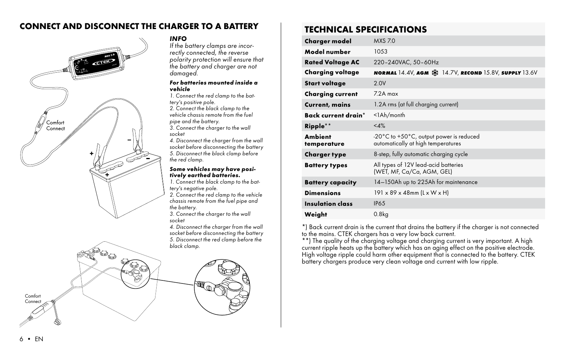## CONNECT AND DISCONNECT THE CHARGER TO A BATTERY



#### *INFO*

*If the battery clamps are incorrectly connected, the reverse polarity protection will ensure that the battery and charger are not damaged.*

#### *For batteries mounted inside a vehicle*

*1. Connect the red clamp to the battery's positive pole.*

*2. Connect the black clamp to the vehicle chassis remote from the fuel pipe and the battery.*

*3. Connect the charger to the wall socket* 

*4. Disconnect the charger from the wall socket before disconnecting the battery 5. Disconnect the black clamp before the red clamp.*

#### *Some vehicles may have positively earthed batteries.*

*1. Connect the black clamp to the battery's negative pole.*

*2. Connect the red clamp to the vehicle chassis remote from the fuel pipe and the battery.*

*3. Connect the charger to the wall socket* 

*4. Disconnect the charger from the wall socket before disconnecting the battery 5. Disconnect the red clamp before the black clamp.*



| Charger model                 | <b>MXS 70</b>                                                                                     |
|-------------------------------|---------------------------------------------------------------------------------------------------|
| Model number                  | 10.53                                                                                             |
| <b>Rated Voltage AC</b>       | 220-240VAC, 50-60Hz                                                                               |
| Charging voltage              | <b>NORMAL 14.4V, AGM <math>\frac{3K}{26}</math> 14.7V, RECOND 15.8V, SUPPLY 13.6V</b>             |
| Start voltage                 | 2.0V                                                                                              |
| <b>Charging current</b>       | $72A$ max                                                                                         |
| <b>Current, mains</b>         | 1.2A rms (at full charging current)                                                               |
| Back current drain*           | $<$ l $Ah/m$ onth                                                                                 |
| Ripple**                      | <4%                                                                                               |
| <b>Ambient</b><br>temperature | $-20^{\circ}$ C to $+50^{\circ}$ C, output power is reduced<br>automatically at high temperatures |
| Charger type                  | 8-step, fully automatic charging cycle                                                            |
| <b>Battery types</b>          | All types of 12V lead-acid batteries<br>(WET, MF, Ca/Ca, AGM, GEL)                                |
| <b>Battery capacity</b>       | 14-150Ah up to 225Ah for maintenance                                                              |
| <b>Dimensions</b>             | $191 \times 89 \times 48$ mm (L x W x H)                                                          |
| Insulation class              | <b>IP65</b>                                                                                       |
| Weight                        | 0.8kg                                                                                             |

\*) Back current drain is the current that drains the battery if the charger is not connected to the mains. CTEK chargers has a very low back current.

\*\*) The quality of the charging voltage and charging current is very important. A high<br>current ripple heats up the battery which has an aging effect on the positive electrode.<br>High voltage ripple could harm other equipment battery chargers produce very clean voltage and current with low ripple.

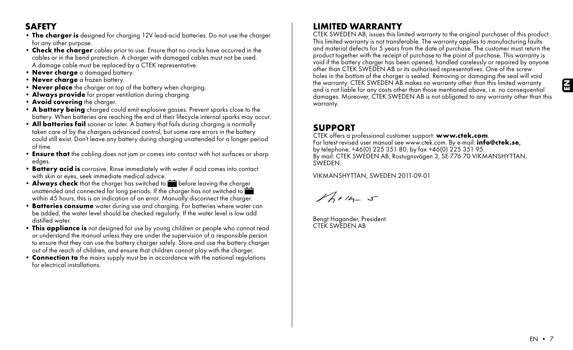## **SAFFTY**

- The charger is designed for charging 12V lead-acid batteries. Do not use the charger for any other purpose.
- Check the charger cables prior to use. Ensure that no cracks have occurred in the cables or in the bend protection. A charger with damaged cables must not be used. A damage cable must be replaced by a CTEK representative.
- Never charge a damaged battery.
- Never charge a frozen battery.
- Never place the charger on top of the battery when charging.
- Always provide for proper ventilation during charging.
- Avoid covering the charger.
- A battery being charged could emit explosive gasses. Prevent sparks close to the battery. When batteries are reaching the end of their lifecycle internal sparks may occur.
- All batteries fail sooner or later. A battery that fails during charaina is normally taken care of by the chargers advanced control, but some rare errors in the battery could still exist. Don't leave any battery during charging unattended for a longer period of time.
- Ensure that the cabling does not jam or comes into contact with hot surfaces or sharp edges.
- Battery acid is corrosive. Rinse immediately with water if acid comes into contact with skin or eyes, seek immediate medical advice.
- Always check that the charger has switched to **be** before leaving the charger unattended and connected for long periods. If the charger has not switched to within 45 hours, this is an indication of an error. Manually disconnect the charger.
- Batteries consume water during use and charging. For batteries where water can be added, the water level should be checked regularly. If the water level is low add distilled water.
- This appliance is not designed for use by young children or people who cannot read or understand the manual unless they are under the supervision of a responsible person to ensure that they can use the battery charger safely. Store and use the battery charger out of the reach of children, and ensure that children cannot play with the charger.
- Connection to the mains supply must be in accordance with the national regulations for electrical installations.

## LIMITED WARRANTY

CTEK SWEDEN AB, issues this limited warranty to the original purchaser of this product. This limited warranty is not transferable. The warranty applies to manufacturing faults and material defects for 5 years from the date of purchase. The customer must return the product together with the receipt of purchase to the point of purchase. This warranty is void if the battery charger has been opened, handled carelessly or repaired by anyone other than CTEK SWEDEN AB or its authorised representatives. One of the screw holes in the bottom of the charger is sealed. Removing or damaging the seal will void the warranty. CTEK SWEDEN AB makes no warranty other than this limited warranty and is not liable for any costs other than those mentioned above, i.e. no consequential damages. Moreover, CTEK SWEDEN AB is not obligated to any warranty other than this warranty.

**SUPPORT**<br>CTEK offers a professional customer support: www.ctek.com. For latest revised user manual see www.ctek.com. By e-mail:  $inf_{\Theta}$ @ctek.se, by telephone: +46(0) 225 351 80, by fax +46(0) 225 351 95. By mail: CTEK SWEDEN AB, Rostugnsvägen 3, SE-776 70 VIKMANSHYTTAN, SWEDEN.

VIKMANSHYTTAN, SWEDEN 2011-09-01

 $16+16=5$ 

Bengt Hagander, President CTEK SWEDEN AB